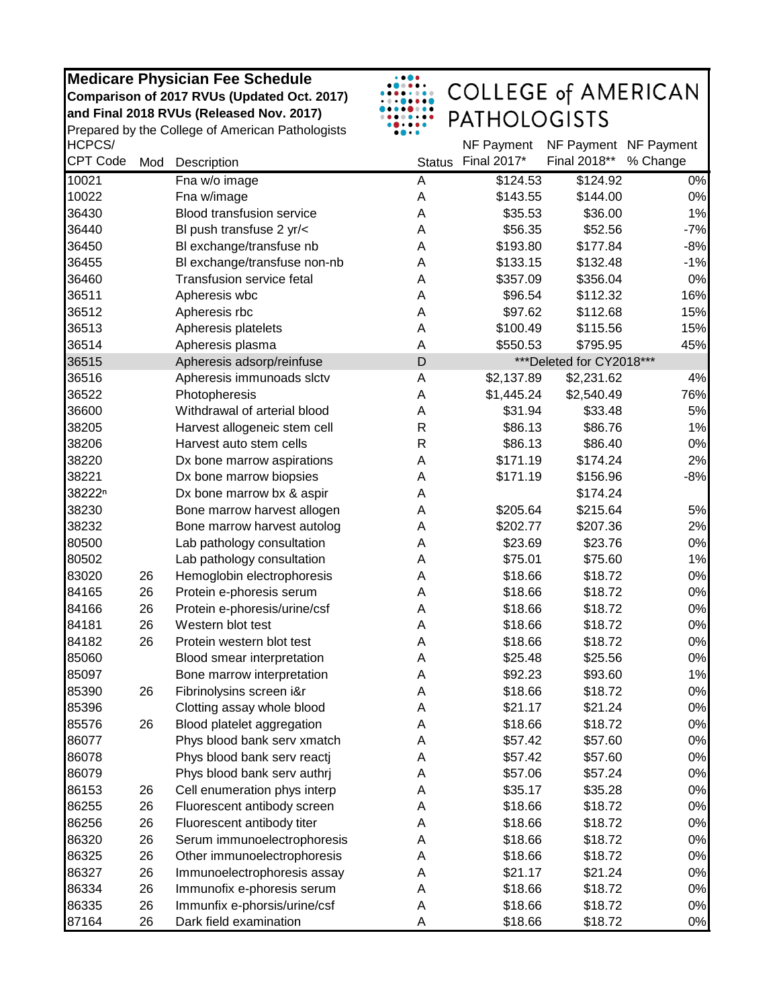**and Final 2018 RVUs (Released Nov. 2017) Medicare Physician Fee Schedule Comparison of 2017 RVUs (Updated Oct. 2017)** 

HCPCS/ Prepared by the College of American Pathologists

| $\ddotsc$<br>$\bullet\bullet\bullet\bullet\bullet\bullet$<br>$\begin{array}{ccccccccccccccccc} \bullet & \bullet & \bullet & \bullet & \bullet & \bullet & \bullet & \bullet & \bullet & \bullet \end{array}$<br>$\bullet\bullet\bullet\bullet\bullet\bullet\bullet\bullet$ | <b>COLLEGE of AMERICAN</b> |  |
|-----------------------------------------------------------------------------------------------------------------------------------------------------------------------------------------------------------------------------------------------------------------------------|----------------------------|--|
| .<br>$\bullet\bullet\bullet\bullet\bullet$                                                                                                                                                                                                                                  | <b>PATHOLOGISTS</b>        |  |

| HCPCS/             |     |                                  |               | NF Payment  | NF Payment NF Payment    |          |
|--------------------|-----|----------------------------------|---------------|-------------|--------------------------|----------|
| <b>CPT Code</b>    | Mod | Description                      | <b>Status</b> | Final 2017* | Final 2018**             | % Change |
| 10021              |     | Fna w/o image                    | A             | \$124.53    | \$124.92                 | 0%       |
| 10022              |     | Fna w/image                      | A             | \$143.55    | \$144.00                 | 0%       |
| 36430              |     | <b>Blood transfusion service</b> | A             | \$35.53     | \$36.00                  | 1%       |
| 36440              |     | BI push transfuse 2 yr/<         | A             | \$56.35     | \$52.56                  | $-7%$    |
| 36450              |     | BI exchange/transfuse nb         | A             | \$193.80    | \$177.84                 | $-8%$    |
| 36455              |     | Bl exchange/transfuse non-nb     | A             | \$133.15    | \$132.48                 | $-1%$    |
| 36460              |     | <b>Transfusion service fetal</b> | A             | \$357.09    | \$356.04                 | 0%       |
| 36511              |     | Apheresis wbc                    | A             | \$96.54     | \$112.32                 | 16%      |
| 36512              |     | Apheresis rbc                    | A             | \$97.62     | \$112.68                 | 15%      |
| 36513              |     | Apheresis platelets              | A             | \$100.49    | \$115.56                 | 15%      |
| 36514              |     | Apheresis plasma                 | A             | \$550.53    | \$795.95                 | 45%      |
| 36515              |     | Apheresis adsorp/reinfuse        | D             |             | ***Deleted for CY2018*** |          |
| 36516              |     | Apheresis immunoads slctv        | A             | \$2,137.89  | \$2,231.62               | 4%       |
| 36522              |     | Photopheresis                    | A             | \$1,445.24  | \$2,540.49               | 76%      |
| 36600              |     | Withdrawal of arterial blood     | A             | \$31.94     | \$33.48                  | 5%       |
| 38205              |     | Harvest allogeneic stem cell     | R             | \$86.13     | \$86.76                  | 1%       |
| 38206              |     | Harvest auto stem cells          | R             | \$86.13     | \$86.40                  | 0%       |
| 38220              |     | Dx bone marrow aspirations       | A             | \$171.19    | \$174.24                 | 2%       |
| 38221              |     | Dx bone marrow biopsies          | Α             | \$171.19    | \$156.96                 | $-8%$    |
| 38222 <sup>n</sup> |     | Dx bone marrow bx & aspir        | Α             |             | \$174.24                 |          |
| 38230              |     | Bone marrow harvest allogen      | Α             | \$205.64    | \$215.64                 | 5%       |
| 38232              |     | Bone marrow harvest autolog      | Α             | \$202.77    | \$207.36                 | 2%       |
| 80500              |     | Lab pathology consultation       | A             | \$23.69     | \$23.76                  | 0%       |
| 80502              |     | Lab pathology consultation       | A             | \$75.01     | \$75.60                  | 1%       |
| 83020              | 26  | Hemoglobin electrophoresis       | Α             | \$18.66     | \$18.72                  | 0%       |
| 84165              | 26  | Protein e-phoresis serum         | A             | \$18.66     | \$18.72                  | 0%       |
| 84166              | 26  | Protein e-phoresis/urine/csf     | A             | \$18.66     | \$18.72                  | 0%       |
| 84181              | 26  | Western blot test                | Α             | \$18.66     | \$18.72                  | 0%       |
| 84182              | 26  | Protein western blot test        | A             | \$18.66     | \$18.72                  | 0%       |
| 85060              |     | Blood smear interpretation       | A             | \$25.48     | \$25.56                  | 0%       |
| 85097              |     | Bone marrow interpretation       | A             | \$92.23     | \$93.60                  | 1%       |
| 85390              | 26  | Fibrinolysins screen i&r         | Α             | \$18.66     | \$18.72                  | 0%       |
| 85396              |     | Clotting assay whole blood       | Α             | \$21.17     | \$21.24                  | $0\%$    |
| 85576              | 26  | Blood platelet aggregation       | Α             | \$18.66     | \$18.72                  | 0%       |
| 86077              |     | Phys blood bank serv xmatch      | Α             | \$57.42     | \$57.60                  | 0%       |
| 86078              |     | Phys blood bank serv reactj      | Α             | \$57.42     | \$57.60                  | 0%       |
| 86079              |     | Phys blood bank serv authrj      | А             | \$57.06     | \$57.24                  | 0%       |
| 86153              | 26  | Cell enumeration phys interp     | Α             | \$35.17     | \$35.28                  | $0\%$    |
| 86255              | 26  | Fluorescent antibody screen      | Α             | \$18.66     | \$18.72                  | $0\%$    |
| 86256              | 26  | Fluorescent antibody titer       | Α             | \$18.66     | \$18.72                  | 0%       |
| 86320              | 26  | Serum immunoelectrophoresis      | Α             | \$18.66     | \$18.72                  | $0\%$    |
| 86325              | 26  | Other immunoelectrophoresis      | Α             | \$18.66     | \$18.72                  | 0%       |
| 86327              | 26  | Immunoelectrophoresis assay      | Α             | \$21.17     | \$21.24                  | $0\%$    |
| 86334              | 26  | Immunofix e-phoresis serum       | Α             | \$18.66     | \$18.72                  | $0\%$    |
| 86335              | 26  | Immunfix e-phorsis/urine/csf     | Α             | \$18.66     | \$18.72                  | 0%       |
| 87164              | 26  | Dark field examination           | Α             | \$18.66     | \$18.72                  | 0%       |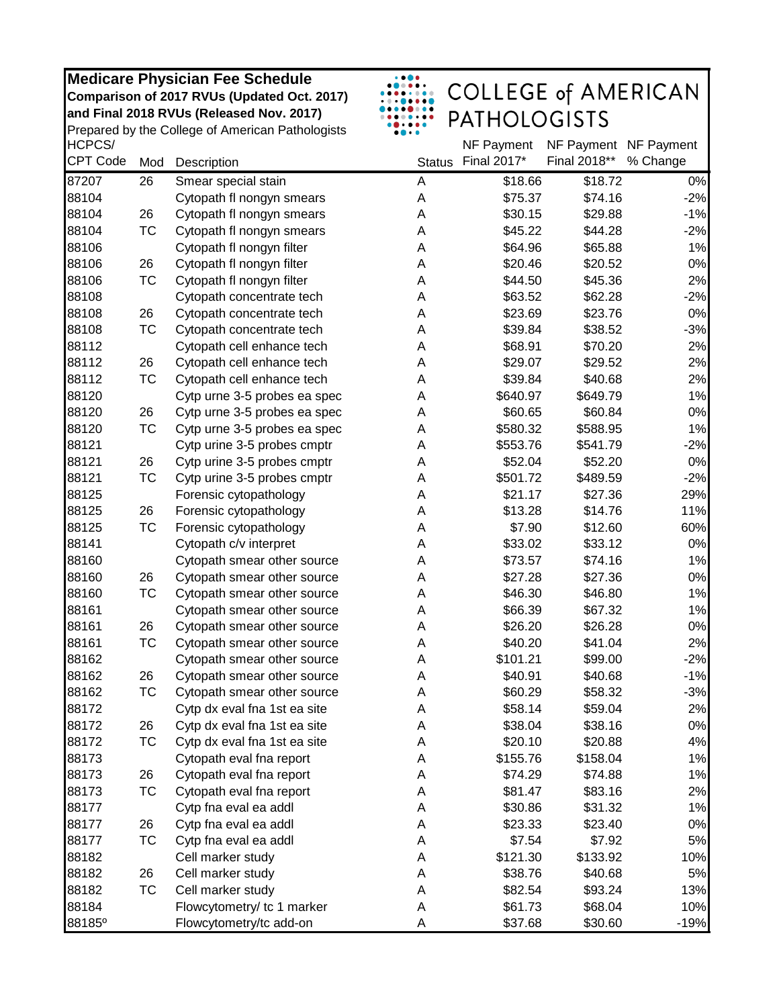|                           |           | Medicare Physician Fee Schedule<br>Comparison of 2017 RVUs (Updated Oct. 2017)<br>and Final 2018 RVUs (Released Nov. 2017)<br>Prepared by the College of American Pathologists |               | <b>COLLEGE of AMERICAN</b><br><b>PATHOLOGISTS</b> |                                       |          |
|---------------------------|-----------|--------------------------------------------------------------------------------------------------------------------------------------------------------------------------------|---------------|---------------------------------------------------|---------------------------------------|----------|
| HCPCS/<br><b>CPT Code</b> | Mod       | Description                                                                                                                                                                    | <b>Status</b> | NF Payment<br>Final 2017*                         | NF Payment NF Payment<br>Final 2018** | % Change |
| 87207                     | 26        | Smear special stain                                                                                                                                                            | Α             | \$18.66                                           | \$18.72                               | 0%       |
| 88104                     |           | Cytopath fl nongyn smears                                                                                                                                                      | A             | \$75.37                                           | \$74.16                               | $-2%$    |
| 88104                     | 26        | Cytopath fl nongyn smears                                                                                                                                                      | Α             | \$30.15                                           | \$29.88                               | $-1%$    |
| 88104                     | <b>TC</b> | Cytopath fl nongyn smears                                                                                                                                                      | A             | \$45.22                                           | \$44.28                               | $-2%$    |
| 88106                     |           | Cytopath fl nongyn filter                                                                                                                                                      | A             | \$64.96                                           | \$65.88                               | 1%       |
| 88106                     | 26        | Cytopath fl nongyn filter                                                                                                                                                      | A             | \$20.46                                           | \$20.52                               | 0%       |
| 88106                     | TC        | Cytopath fl nongyn filter                                                                                                                                                      | A             | \$44.50                                           | \$45.36                               | 2%       |
| 88108                     |           | Cytopath concentrate tech                                                                                                                                                      | Α             | \$63.52                                           | \$62.28                               | $-2%$    |
| 88108                     | 26        | Cytopath concentrate tech                                                                                                                                                      | Α             | \$23.69                                           | \$23.76                               | 0%       |
| 88108                     | <b>TC</b> | Cytopath concentrate tech                                                                                                                                                      | Α             | \$39.84                                           | \$38.52                               | $-3%$    |
| 88112                     |           | Cytopath cell enhance tech                                                                                                                                                     | Α             | \$68.91                                           | \$70.20                               | 2%       |
| 88112                     | 26        | Cytopath cell enhance tech                                                                                                                                                     | A             | \$29.07                                           | \$29.52                               | 2%       |
| 88112                     | TC        | Cytopath cell enhance tech                                                                                                                                                     | A             | \$39.84                                           | \$40.68                               | 2%       |
| 88120                     |           | Cytp urne 3-5 probes ea spec                                                                                                                                                   | A             | \$640.97                                          | \$649.79                              | 1%       |
| 88120                     | 26        | Cytp urne 3-5 probes ea spec                                                                                                                                                   | Α             | \$60.65                                           | \$60.84                               | 0%       |
| 88120                     | ТC        | Cytp urne 3-5 probes ea spec                                                                                                                                                   | Α             | \$580.32                                          | \$588.95                              | 1%       |
| 88121                     |           | Cytp urine 3-5 probes cmptr                                                                                                                                                    | А             | \$553.76                                          | \$541.79                              | $-2%$    |
| 88121                     | 26        | Cytp urine 3-5 probes cmptr                                                                                                                                                    | A             | \$52.04                                           | \$52.20                               | 0%       |
| 88121                     | TC        | Cytp urine 3-5 probes cmptr                                                                                                                                                    | Α             | \$501.72                                          | \$489.59                              | $-2%$    |
| 88125                     |           | Forensic cytopathology                                                                                                                                                         | Α             | \$21.17                                           | \$27.36                               | 29%      |
| 88125                     | 26        | Forensic cytopathology                                                                                                                                                         | Α             | \$13.28                                           | \$14.76                               | 11%      |
| 88125                     | <b>TC</b> | Forensic cytopathology                                                                                                                                                         | Α             | \$7.90                                            | \$12.60                               | 60%      |
| 88141                     |           | Cytopath c/v interpret                                                                                                                                                         | Α             | \$33.02                                           | \$33.12                               | $0\%$    |
| 88160                     |           | Cytopath smear other source                                                                                                                                                    | Α             | \$73.57                                           | \$74.16                               | 1%       |
| 88160                     | 26        | Cytopath smear other source                                                                                                                                                    | Α             | \$27.28                                           | \$27.36                               | 0%       |
| 88160                     | TC        | Cytopath smear other source                                                                                                                                                    | Α             | \$46.30                                           | \$46.80                               | 1%       |
| 88161                     |           | Cytopath smear other source                                                                                                                                                    | Α             | \$66.39                                           | \$67.32                               | 1%       |
| 88161                     | 26        | Cytopath smear other source                                                                                                                                                    | Α             | \$26.20                                           | \$26.28                               | 0%       |
| 88161                     | <b>TC</b> | Cytopath smear other source                                                                                                                                                    | A             | \$40.20                                           | \$41.04                               | 2%       |
| 88162                     |           | Cytopath smear other source                                                                                                                                                    | Α             | \$101.21                                          | \$99.00                               | $-2%$    |
| 88162                     | 26        | Cytopath smear other source                                                                                                                                                    | А             | \$40.91                                           | \$40.68                               | $-1%$    |
| 88162                     | ТC        | Cytopath smear other source                                                                                                                                                    | А             | \$60.29                                           | \$58.32                               | $-3%$    |
| 88172                     |           | Cytp dx eval fna 1st ea site                                                                                                                                                   | Α             | \$58.14                                           | \$59.04                               | 2%       |
| 88172                     | 26        | Cytp dx eval fna 1st ea site                                                                                                                                                   | Α             | \$38.04                                           | \$38.16                               | 0%       |
| 88172                     | ТC        | Cytp dx eval fna 1st ea site                                                                                                                                                   | Α             | \$20.10                                           | \$20.88                               | 4%       |
| 88173                     |           | Cytopath eval fna report                                                                                                                                                       | Α             | \$155.76                                          | \$158.04                              | 1%       |
| 88173                     | 26        | Cytopath eval fna report                                                                                                                                                       | Α             | \$74.29                                           | \$74.88                               | 1%       |
| 88173                     | ТC        | Cytopath eval fna report                                                                                                                                                       | Α             | \$81.47                                           | \$83.16                               | 2%       |
| 88177                     |           | Cytp fna eval ea addl                                                                                                                                                          | Α             | \$30.86                                           | \$31.32                               | 1%       |
| 88177                     | 26        | Cytp fna eval ea addl                                                                                                                                                          | Α             | \$23.33                                           | \$23.40                               | 0%       |
| 88177                     | TC        | Cytp fna eval ea addl                                                                                                                                                          | Α             | \$7.54                                            | \$7.92                                | 5%       |
| 88182                     |           | Cell marker study                                                                                                                                                              | Α             | \$121.30                                          | \$133.92                              | 10%      |
| 88182                     | 26        | Cell marker study                                                                                                                                                              | Α             | \$38.76                                           | \$40.68                               | 5%       |
| 88182                     | TC        | Cell marker study                                                                                                                                                              | Α             | \$82.54                                           | \$93.24                               | 13%      |
| 88184                     |           | Flowcytometry/ tc 1 marker                                                                                                                                                     | Α             | \$61.73                                           | \$68.04                               | 10%      |
| 88185°                    |           | Flowcytometry/tc add-on                                                                                                                                                        | Α             | \$37.68                                           | \$30.60                               | $-19%$   |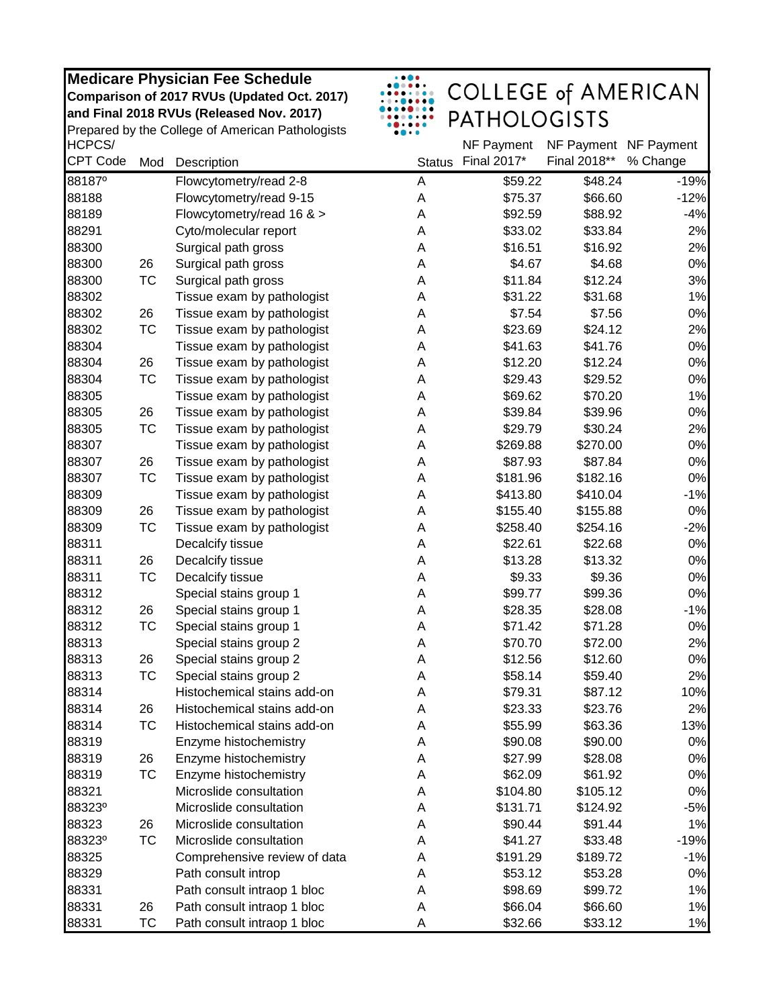|                    |           | <b>Medicare Physician Fee Schedule</b>           |               | <b>COLLEGE of AMERICAN</b> |                                       |          |
|--------------------|-----------|--------------------------------------------------|---------------|----------------------------|---------------------------------------|----------|
|                    |           | Comparison of 2017 RVUs (Updated Oct. 2017)      |               |                            |                                       |          |
|                    |           | and Final 2018 RVUs (Released Nov. 2017)         |               | <b>PATHOLOGISTS</b>        |                                       |          |
| HCPCS/             |           | Prepared by the College of American Pathologists |               |                            |                                       |          |
| <b>CPT Code</b>    | Mod       | Description                                      | <b>Status</b> | NF Payment<br>Final 2017*  | NF Payment NF Payment<br>Final 2018** | % Change |
| 88187 <sup>°</sup> |           | Flowcytometry/read 2-8                           | A             | \$59.22                    | \$48.24                               | $-19%$   |
| 88188              |           | Flowcytometry/read 9-15                          | A             | \$75.37                    | \$66.60                               | $-12%$   |
| 88189              |           | Flowcytometry/read 16 & >                        | A             | \$92.59                    | \$88.92                               | $-4%$    |
| 88291              |           | Cyto/molecular report                            | A             | \$33.02                    | \$33.84                               | 2%       |
| 88300              |           | Surgical path gross                              | A             | \$16.51                    | \$16.92                               | 2%       |
| 88300              | 26        | Surgical path gross                              | A             | \$4.67                     | \$4.68                                | 0%       |
| 88300              | <b>TC</b> | Surgical path gross                              | A             | \$11.84                    | \$12.24                               | 3%       |
| 88302              |           | Tissue exam by pathologist                       | A             | \$31.22                    | \$31.68                               | 1%       |
| 88302              | 26        | Tissue exam by pathologist                       | А             | \$7.54                     | \$7.56                                | 0%       |
| 88302              | <b>TC</b> | Tissue exam by pathologist                       | А             | \$23.69                    | \$24.12                               | 2%       |
| 88304              |           | Tissue exam by pathologist                       | А             | \$41.63                    | \$41.76                               | 0%       |
| 88304              | 26        | Tissue exam by pathologist                       | А             | \$12.20                    | \$12.24                               | 0%       |
| 88304              | <b>TC</b> | Tissue exam by pathologist                       | Α             | \$29.43                    | \$29.52                               | 0%       |
| 88305              |           | Tissue exam by pathologist                       | Α             | \$69.62                    | \$70.20                               | 1%       |
| 88305              | 26        | Tissue exam by pathologist                       | А             | \$39.84                    | \$39.96                               | 0%       |
| 88305              | <b>TC</b> | Tissue exam by pathologist                       | Α             | \$29.79                    | \$30.24                               | 2%       |
| 88307              |           | Tissue exam by pathologist                       | А             | \$269.88                   | \$270.00                              | 0%       |
| 88307              | 26        | Tissue exam by pathologist                       | Α             | \$87.93                    | \$87.84                               | 0%       |
| 88307              | TC        | Tissue exam by pathologist                       | Α             | \$181.96                   | \$182.16                              | 0%       |
| 88309              |           | Tissue exam by pathologist                       | Α             | \$413.80                   | \$410.04                              | $-1%$    |
| 88309              | 26        | Tissue exam by pathologist                       | А             | \$155.40                   | \$155.88                              | $0\%$    |
| 88309              | <b>TC</b> | Tissue exam by pathologist                       | А             | \$258.40                   | \$254.16                              | $-2%$    |
| 88311              |           | Decalcify tissue                                 | А             | \$22.61                    | \$22.68                               | $0\%$    |
| 88311              | 26        | Decalcify tissue                                 | А             | \$13.28                    | \$13.32                               | 0%       |
| 88311              | <b>TC</b> | Decalcify tissue                                 | А             | \$9.33                     | \$9.36                                | $0\%$    |
| 88312              |           |                                                  |               | \$99.77                    |                                       | $0\%$    |
| 88312              |           | Special stains group 1                           | А             |                            | \$99.36                               |          |
|                    | 26        | Special stains group 1                           | А             | \$28.35                    | \$28.08                               | $-1%$    |
| 88312              | ТC        | Special stains group 1                           | A             | \$71.42                    | \$71.28                               | $0\%$    |
| 88313              |           | Special stains group 2                           | Α             | \$70.70                    | \$72.00                               | 2%       |
| 88313              | 26        | Special stains group 2                           | Α             | \$12.56                    | \$12.60                               | 0%       |
| 88313              | TC        | Special stains group 2                           | Α             | \$58.14                    | \$59.40                               | 2%       |
| 88314              |           | Histochemical stains add-on                      | A             | \$79.31                    | \$87.12                               | 10%      |
| 88314              | 26        | Histochemical stains add-on                      | Α             | \$23.33                    | \$23.76                               | 2%       |
| 88314              | TC        | Histochemical stains add-on                      | Α             | \$55.99                    | \$63.36                               | 13%      |
| 88319              |           | Enzyme histochemistry                            | A             | \$90.08                    | \$90.00                               | 0%       |
| 88319              | 26        | Enzyme histochemistry                            | A             | \$27.99                    | \$28.08                               | 0%       |
| 88319              | TC        | Enzyme histochemistry                            | A             | \$62.09                    | \$61.92                               | 0%       |
| 88321              |           | Microslide consultation                          | A             | \$104.80                   | \$105.12                              | 0%       |
| 88323°             |           | Microslide consultation                          | Α             | \$131.71                   | \$124.92                              | $-5%$    |
| 88323              | 26        | Microslide consultation                          | Α             | \$90.44                    | \$91.44                               | 1%       |
| 88323°             | TC        | Microslide consultation                          | Α             | \$41.27                    | \$33.48                               | $-19%$   |
| 88325              |           | Comprehensive review of data                     | Α             | \$191.29                   | \$189.72                              | $-1%$    |
| 88329              |           | Path consult introp                              | A             | \$53.12                    | \$53.28                               | 0%       |
| 88331              |           | Path consult intraop 1 bloc                      | Α             | \$98.69                    | \$99.72                               | 1%       |
| 88331              | 26        | Path consult intraop 1 bloc                      | Α             | \$66.04                    | \$66.60                               | 1%       |
| 88331              | <b>TC</b> | Path consult intraop 1 bloc                      | Α             | \$32.66                    | \$33.12                               | 1%       |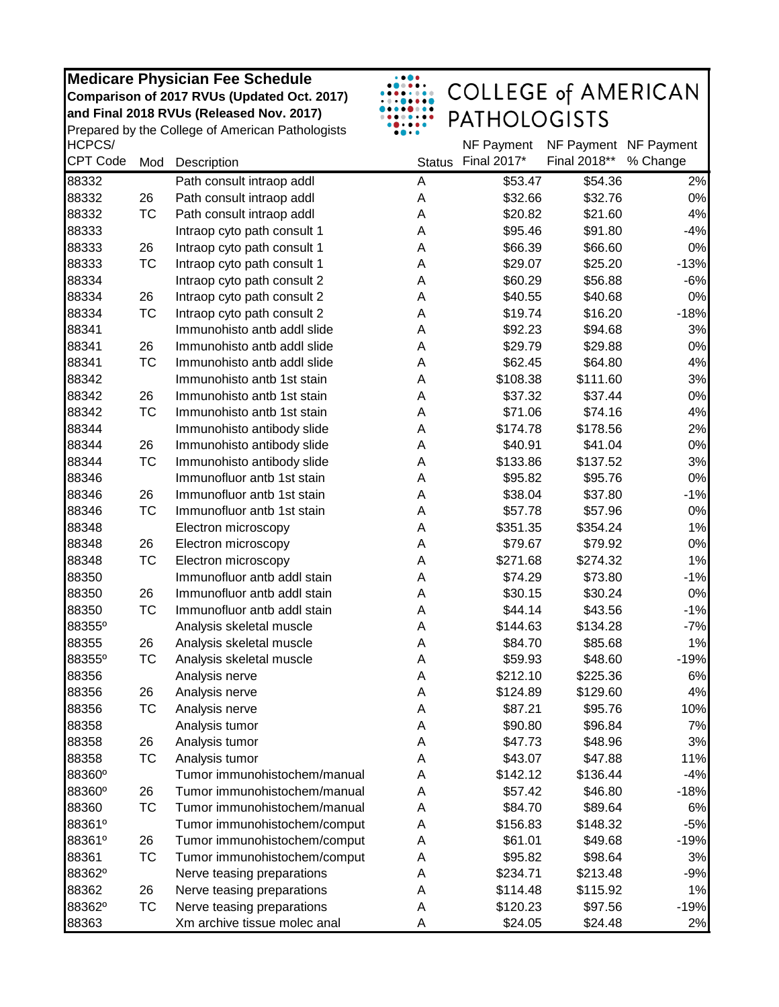| <b>Medicare Physician Fee Schedule</b>           |
|--------------------------------------------------|
| Comparison of 2017 RVUs (Updated Oct. 2017)      |
| and Final 2018 RVUs (Released Nov. 2017)         |
| Prepared by the College of American Pathologists |



## COLLEGE of AMERICAN<br>PATHOLOGISTS

| HCPCS/          |           |                              |               | NF Payment  | NF Payment NF Payment |          |
|-----------------|-----------|------------------------------|---------------|-------------|-----------------------|----------|
| <b>CPT Code</b> | Mod       | Description                  | <b>Status</b> | Final 2017* | Final 2018**          | % Change |
| 88332           |           | Path consult intraop addl    | A             | \$53.47     | \$54.36               | 2%       |
| 88332           | 26        | Path consult intraop addl    | A             | \$32.66     | \$32.76               | 0%       |
| 88332           | ТC        | Path consult intraop addl    | A             | \$20.82     | \$21.60               | 4%       |
| 88333           |           | Intraop cyto path consult 1  | A             | \$95.46     | \$91.80               | $-4%$    |
| 88333           | 26        | Intraop cyto path consult 1  | A             | \$66.39     | \$66.60               | 0%       |
| 88333           | TC        | Intraop cyto path consult 1  | A             | \$29.07     | \$25.20               | $-13%$   |
| 88334           |           | Intraop cyto path consult 2  | A             | \$60.29     | \$56.88               | $-6%$    |
| 88334           | 26        | Intraop cyto path consult 2  | А             | \$40.55     | \$40.68               | 0%       |
| 88334           | ТC        | Intraop cyto path consult 2  | Α             | \$19.74     | \$16.20               | $-18%$   |
| 88341           |           | Immunohisto antb addl slide  | A             | \$92.23     | \$94.68               | 3%       |
| 88341           | 26        | Immunohisto antb addl slide  | A             | \$29.79     | \$29.88               | 0%       |
| 88341           | TC        | Immunohisto antb addl slide  | A             | \$62.45     | \$64.80               | 4%       |
| 88342           |           | Immunohisto antb 1st stain   | A             | \$108.38    | \$111.60              | 3%       |
| 88342           | 26        | Immunohisto antb 1st stain   | Α             | \$37.32     | \$37.44               | 0%       |
| 88342           | ТC        | Immunohisto antb 1st stain   | Α             | \$71.06     | \$74.16               | 4%       |
| 88344           |           | Immunohisto antibody slide   | A             | \$174.78    | \$178.56              | 2%       |
| 88344           | 26        | Immunohisto antibody slide   | A             | \$40.91     | \$41.04               | 0%       |
| 88344           | <b>TC</b> | Immunohisto antibody slide   | Α             | \$133.86    | \$137.52              | 3%       |
| 88346           |           | Immunofluor antb 1st stain   | Α             | \$95.82     | \$95.76               | 0%       |
| 88346           | 26        | Immunofluor antb 1st stain   | A             | \$38.04     | \$37.80               | $-1%$    |
| 88346           | ТC        | Immunofluor antb 1st stain   | Α             | \$57.78     | \$57.96               | 0%       |
| 88348           |           | Electron microscopy          | A             | \$351.35    | \$354.24              | 1%       |
| 88348           | 26        | Electron microscopy          | A             | \$79.67     | \$79.92               | 0%       |
| 88348           | ТC        | Electron microscopy          | A             | \$271.68    | \$274.32              | 1%       |
| 88350           |           | Immunofluor antb addl stain  | A             | \$74.29     | \$73.80               | $-1%$    |
| 88350           | 26        | Immunofluor antb addl stain  | A             | \$30.15     | \$30.24               | 0%       |
| 88350           | <b>TC</b> | Immunofluor antb addl stain  | Α             | \$44.14     | \$43.56               | $-1%$    |
| 88355°          |           | Analysis skeletal muscle     | A             | \$144.63    | \$134.28              | $-7%$    |
| 88355           | 26        | Analysis skeletal muscle     | A             | \$84.70     | \$85.68               | 1%       |
| 88355°          | TC        | Analysis skeletal muscle     | A             | \$59.93     | \$48.60               | $-19%$   |
| 88356           |           | Analysis nerve               | Α             | \$212.10    | \$225.36              | 6%       |
| 88356           | 26        | Analysis nerve               | Α             | \$124.89    | \$129.60              | 4%       |
| 88356           | TC        | Analysis nerve               | A             | \$87.21     | \$95.76               | 10%      |
| 88358           |           | Analysis tumor               | Α             | \$90.80     | \$96.84               | 7%       |
| 88358           | 26        | Analysis tumor               | Α             | \$47.73     | \$48.96               | 3%       |
| 88358           | ТC        | Analysis tumor               | A             | \$43.07     | \$47.88               | 11%      |
| 88360°          |           | Tumor immunohistochem/manual | A             | \$142.12    | \$136.44              | $-4%$    |
| 88360°          | 26        | Tumor immunohistochem/manual | Α             | \$57.42     | \$46.80               | $-18%$   |
| 88360           | ТC        | Tumor immunohistochem/manual | А             | \$84.70     | \$89.64               | 6%       |
| 88361°          |           | Tumor immunohistochem/comput | А             | \$156.83    | \$148.32              | $-5%$    |
| 88361°          | 26        | Tumor immunohistochem/comput | А             | \$61.01     | \$49.68               | $-19%$   |
| 88361           | ТC        | Tumor immunohistochem/comput | Α             | \$95.82     | \$98.64               | 3%       |
| 88362°          |           | Nerve teasing preparations   | A             | \$234.71    | \$213.48              | $-9%$    |
| 88362           | 26        | Nerve teasing preparations   | A             | \$114.48    | \$115.92              | 1%       |
| 88362°          | ТC        | Nerve teasing preparations   | Α             | \$120.23    | \$97.56               | $-19%$   |
| 88363           |           | Xm archive tissue molec anal | Α             | \$24.05     | \$24.48               | 2%       |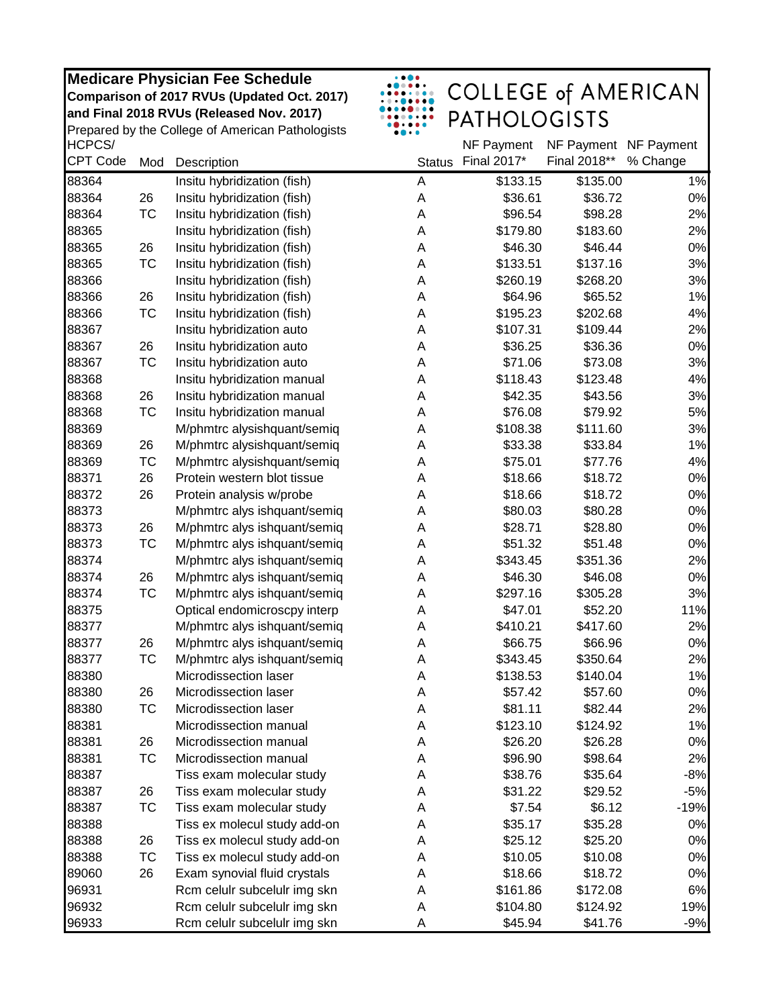|                 |           | <b>Medicare Physician Fee Schedule</b>           |               |                            |              |            |
|-----------------|-----------|--------------------------------------------------|---------------|----------------------------|--------------|------------|
|                 |           | Comparison of 2017 RVUs (Updated Oct. 2017)      |               | <b>COLLEGE of AMERICAN</b> |              |            |
|                 |           | and Final 2018 RVUs (Released Nov. 2017)         |               | <b>PATHOLOGISTS</b>        |              |            |
|                 |           | Prepared by the College of American Pathologists |               |                            |              |            |
| HCPCS/          |           |                                                  |               | NF Payment                 | NF Payment   | NF Payment |
| <b>CPT Code</b> | Mod       | Description                                      | <b>Status</b> | Final 2017*                | Final 2018** | % Change   |
| 88364           |           | Insitu hybridization (fish)                      | A             | \$133.15                   | \$135.00     | 1%         |
| 88364           | 26        | Insitu hybridization (fish)                      | A             | \$36.61                    | \$36.72      | 0%         |
| 88364           | <b>TC</b> | Insitu hybridization (fish)                      | A             | \$96.54                    | \$98.28      | 2%         |
| 88365           |           | Insitu hybridization (fish)                      | Α             | \$179.80                   | \$183.60     | 2%         |
| 88365           | 26        | Insitu hybridization (fish)                      | Α             | \$46.30                    | \$46.44      | 0%         |
| 88365           | <b>TC</b> | Insitu hybridization (fish)                      | Α             | \$133.51                   | \$137.16     | 3%         |
| 88366           |           | Insitu hybridization (fish)                      | A             | \$260.19                   | \$268.20     | 3%         |
| 88366           | 26        | Insitu hybridization (fish)                      | A             | \$64.96                    | \$65.52      | 1%         |
| 88366           | TC        | Insitu hybridization (fish)                      | A             | \$195.23                   | \$202.68     | 4%         |
| 88367           |           | Insitu hybridization auto                        | Α             | \$107.31                   | \$109.44     | 2%         |
| 88367           | 26        | Insitu hybridization auto                        | Α             | \$36.25                    | \$36.36      | 0%         |
| 88367           | <b>TC</b> | Insitu hybridization auto                        | Α             | \$71.06                    | \$73.08      | 3%         |
| 88368           |           | Insitu hybridization manual                      | Α             | \$118.43                   | \$123.48     | 4%         |
| 88368           | 26        | Insitu hybridization manual                      | A             | \$42.35                    | \$43.56      | 3%         |
| 88368           | TC        | Insitu hybridization manual                      | Α             | \$76.08                    | \$79.92      | 5%         |
| 88369           |           | M/phmtrc alysishquant/semiq                      | Α             | \$108.38                   | \$111.60     | 3%         |
| 88369           | 26        | M/phmtrc alysishquant/semiq                      | Α             | \$33.38                    | \$33.84      | 1%         |
| 88369           | TC        | M/phmtrc alysishquant/semiq                      | Α             | \$75.01                    | \$77.76      | 4%         |
| 88371           | 26        | Protein western blot tissue                      | A             | \$18.66                    | \$18.72      | 0%         |
| 88372           | 26        | Protein analysis w/probe                         | A             | \$18.66                    | \$18.72      | 0%         |
| 88373           |           | M/phmtrc alys ishquant/semiq                     | Α             | \$80.03                    | \$80.28      | 0%         |
| 88373           | 26        | M/phmtrc alys ishquant/semiq                     | A             | \$28.71                    | \$28.80      | 0%         |
| 88373           | <b>TC</b> | M/phmtrc alys ishquant/semiq                     | A             | \$51.32                    | \$51.48      | 0%         |
| 88374           |           | M/phmtrc alys ishquant/semiq                     | Α             | \$343.45                   | \$351.36     | 2%         |
| 88374           | 26        | M/phmtrc alys ishquant/semiq                     | Α             | \$46.30                    | \$46.08      | 0%         |
| 88374           | TC        | M/phmtrc alys ishquant/semiq                     | A             | \$297.16                   | \$305.28     | 3%         |
| 88375           |           | Optical endomicroscpy interp                     | A             | \$47.01                    | \$52.20      | 11%        |
| 88377           |           | M/phmtrc alys ishquant/semiq                     | A             | \$410.21                   | \$417.60     | 2%         |
| 88377           | 26        | M/phmtrc alys ishquant/semiq                     | A             | \$66.75                    | \$66.96      | 0%         |
| 88377           | TC        | M/phmtrc alys ishquant/semiq                     | А             | \$343.45                   | \$350.64     | 2%         |
| 88380           |           | Microdissection laser                            | A             | \$138.53                   | \$140.04     | 1%         |
| 88380           | 26        | Microdissection laser                            | Α             | \$57.42                    | \$57.60      | 0%         |
| 88380           | ТC        | Microdissection laser                            | Α             | \$81.11                    | \$82.44      | 2%         |
| 88381           |           | Microdissection manual                           | Α             | \$123.10                   | \$124.92     | 1%         |
| 88381           | 26        | Microdissection manual                           | A             | \$26.20                    | \$26.28      | 0%         |
| 88381           | TC        | Microdissection manual                           | A             | \$96.90                    | \$98.64      | 2%         |
| 88387           |           | Tiss exam molecular study                        | Α             | \$38.76                    | \$35.64      | $-8%$      |
| 88387           | 26        | Tiss exam molecular study                        | Α             | \$31.22                    | \$29.52      | $-5%$      |
| 88387           | ТC        | Tiss exam molecular study                        | А             | \$7.54                     | \$6.12       | $-19%$     |
| 88388           |           | Tiss ex molecul study add-on                     | Α             | \$35.17                    | \$35.28      | $0\%$      |
| 88388           | 26        | Tiss ex molecul study add-on                     | Α             | \$25.12                    | \$25.20      | 0%         |
| 88388           | ТC        | Tiss ex molecul study add-on                     | Α             | \$10.05                    | \$10.08      | 0%         |
| 89060           | 26        | Exam synovial fluid crystals                     | Α             | \$18.66                    | \$18.72      | $0\%$      |
| 96931           |           | Rcm celulr subcelulr img skn                     | Α             | \$161.86                   | \$172.08     | 6%         |
| 96932           |           | Rcm celulr subcelulr img skn                     | Α             | \$104.80                   | \$124.92     | 19%        |
| 96933           |           | Rcm celulr subcelulr img skn                     | A             | \$45.94                    | \$41.76      | $-9%$      |